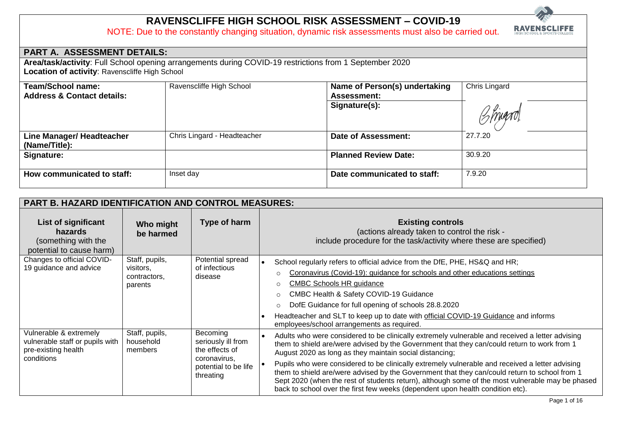## **RAVENSCLIFFE HIGH SCHOOL RISK ASSESSMENT – COVID-19**

NOTE: Due to the constantly changing situation, dynamic risk assessments must also be carried out.



| PART A. ASSESSMENT DETAILS:                       |                                                                                                         |                               |               |  |  |  |
|---------------------------------------------------|---------------------------------------------------------------------------------------------------------|-------------------------------|---------------|--|--|--|
|                                                   | Area/task/activity: Full School opening arrangements during COVID-19 restrictions from 1 September 2020 |                               |               |  |  |  |
| Location of activity: Ravenscliffe High School    |                                                                                                         |                               |               |  |  |  |
| Team/School name:                                 | Ravenscliffe High School                                                                                | Name of Person(s) undertaking | Chris Lingard |  |  |  |
| <b>Address &amp; Contact details:</b>             |                                                                                                         | <b>Assessment:</b>            |               |  |  |  |
|                                                   |                                                                                                         | Signature(s):                 |               |  |  |  |
| <b>Line Manager/ Headteacher</b><br>(Name/Title): | Chris Lingard - Headteacher                                                                             | <b>Date of Assessment:</b>    | 27.7.20       |  |  |  |
| Signature:                                        |                                                                                                         | <b>Planned Review Date:</b>   | 30.9.20       |  |  |  |
| How communicated to staff:                        | Inset day                                                                                               | Date communicated to staff:   | 7.9.20        |  |  |  |

| <b>PART B. HAZARD IDENTIFICATION AND CONTROL MEASURES:</b>                                     |                                                        |                                                                                                       |                                                                                                                                                                                                                                                                                                                                                                                                                                                                                                                                                                                                                                                     |
|------------------------------------------------------------------------------------------------|--------------------------------------------------------|-------------------------------------------------------------------------------------------------------|-----------------------------------------------------------------------------------------------------------------------------------------------------------------------------------------------------------------------------------------------------------------------------------------------------------------------------------------------------------------------------------------------------------------------------------------------------------------------------------------------------------------------------------------------------------------------------------------------------------------------------------------------------|
| List of significant<br><b>hazards</b><br>(something with the<br>potential to cause harm)       | Who might<br>be harmed                                 | Type of harm                                                                                          | <b>Existing controls</b><br>(actions already taken to control the risk -<br>include procedure for the task/activity where these are specified)                                                                                                                                                                                                                                                                                                                                                                                                                                                                                                      |
| Changes to official COVID-<br>19 guidance and advice                                           | Staff, pupils,<br>visitors,<br>contractors.<br>parents | Potential spread<br>of infectious<br>disease                                                          | School regularly refers to official advice from the DfE, PHE, HS&Q and HR;<br>$\bullet$<br>Coronavirus (Covid-19): guidance for schools and other educations settings<br>$\circ$<br><b>CMBC Schools HR guidance</b><br>$\circ$<br>CMBC Health & Safety COVID-19 Guidance<br>$\circ$<br>DofE Guidance for full opening of schools 28.8.2020<br>$\circ$<br>Headteacher and SLT to keep up to date with official COVID-19 Guidance and informs<br>employees/school arrangements as required.                                                                                                                                                           |
| Vulnerable & extremely<br>vulnerable staff or pupils with<br>pre-existing health<br>conditions | Staff, pupils,<br>household<br>members                 | Becoming<br>seriously ill from<br>the effects of<br>coronavirus,<br>potential to be life<br>threating | Adults who were considered to be clinically extremely vulnerable and received a letter advising<br>them to shield are/were advised by the Government that they can/could return to work from 1<br>August 2020 as long as they maintain social distancing;<br>Pupils who were considered to be clinically extremely vulnerable and received a letter advising<br>them to shield are/were advised by the Government that they can/could return to school from 1<br>Sept 2020 (when the rest of students return), although some of the most vulnerable may be phased<br>back to school over the first few weeks (dependent upon health condition etc). |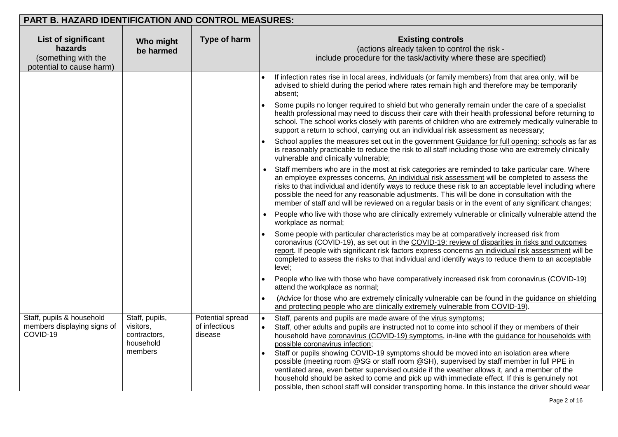| <b>PART B. HAZARD IDENTIFICATION AND CONTROL MEASURES:</b>                               |                                                                     |                                              |                                                                                                                                                                                                                                                                                                                                                                                                                                                                                                                                                                                                                                                                                                                                                                                                                                             |
|------------------------------------------------------------------------------------------|---------------------------------------------------------------------|----------------------------------------------|---------------------------------------------------------------------------------------------------------------------------------------------------------------------------------------------------------------------------------------------------------------------------------------------------------------------------------------------------------------------------------------------------------------------------------------------------------------------------------------------------------------------------------------------------------------------------------------------------------------------------------------------------------------------------------------------------------------------------------------------------------------------------------------------------------------------------------------------|
| <b>List of significant</b><br>hazards<br>(something with the<br>potential to cause harm) | Who might<br>be harmed                                              | Type of harm                                 | <b>Existing controls</b><br>(actions already taken to control the risk -<br>include procedure for the task/activity where these are specified)                                                                                                                                                                                                                                                                                                                                                                                                                                                                                                                                                                                                                                                                                              |
|                                                                                          |                                                                     |                                              | If infection rates rise in local areas, individuals (or family members) from that area only, will be<br>advised to shield during the period where rates remain high and therefore may be temporarily<br>absent:<br>Some pupils no longer required to shield but who generally remain under the care of a specialist<br>health professional may need to discuss their care with their health professional before returning to<br>school. The school works closely with parents of children who are extremely medically vulnerable to<br>support a return to school, carrying out an individual risk assessment as necessary;<br>School applies the measures set out in the government Guidance for full opening: schools as far as<br>is reasonably practicable to reduce the risk to all staff including those who are extremely clinically |
|                                                                                          |                                                                     |                                              | vulnerable and clinically vulnerable;<br>Staff members who are in the most at risk categories are reminded to take particular care. Where<br>an employee expresses concerns, An individual risk assessment will be completed to assess the<br>risks to that individual and identify ways to reduce these risk to an acceptable level including where<br>possible the need for any reasonable adjustments. This will be done in consultation with the<br>member of staff and will be reviewed on a regular basis or in the event of any significant changes;<br>People who live with those who are clinically extremely vulnerable or clinically vulnerable attend the                                                                                                                                                                       |
|                                                                                          |                                                                     |                                              | workplace as normal;<br>Some people with particular characteristics may be at comparatively increased risk from<br>coronavirus (COVID-19), as set out in the COVID-19: review of disparities in risks and outcomes<br>report. If people with significant risk factors express concerns an individual risk assessment will be<br>completed to assess the risks to that individual and identify ways to reduce them to an acceptable<br>level:                                                                                                                                                                                                                                                                                                                                                                                                |
|                                                                                          |                                                                     |                                              | People who live with those who have comparatively increased risk from coronavirus (COVID-19)<br>attend the workplace as normal;<br>(Advice for those who are extremely clinically vulnerable can be found in the guidance on shielding<br>$\bullet$<br>and protecting people who are clinically extremely vulnerable from COVID-19).                                                                                                                                                                                                                                                                                                                                                                                                                                                                                                        |
| Staff, pupils & household<br>members displaying signs of<br>COVID-19                     | Staff, pupils,<br>visitors,<br>contractors,<br>household<br>members | Potential spread<br>of infectious<br>disease | Staff, parents and pupils are made aware of the virus symptoms;<br>Staff, other adults and pupils are instructed not to come into school if they or members of their<br>household have coronavirus (COVID-19) symptoms, in-line with the guidance for households with<br>possible coronavirus infection;<br>Staff or pupils showing COVID-19 symptoms should be moved into an isolation area where<br>possible (meeting room @SG or staff room @SH), supervised by staff member in full PPE in<br>ventilated area, even better supervised outside if the weather allows it, and a member of the<br>household should be asked to come and pick up with immediate effect. If this is genuinely not<br>possible, then school staff will consider transporting home. In this instance the driver should wear                                    |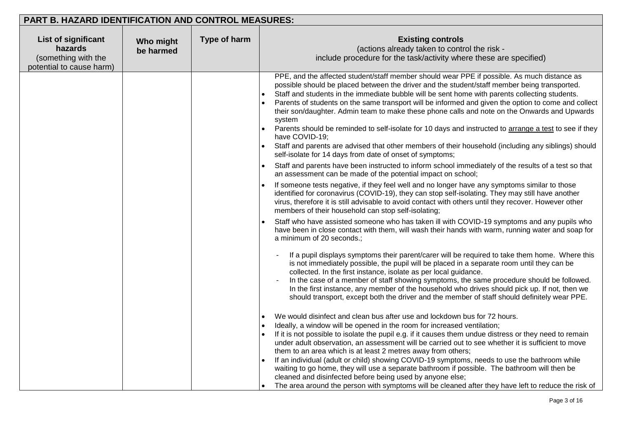| PART B. HAZARD IDENTIFICATION AND CONTROL MEASURES:                                      |                        |              |                                                                                                                                                                                                                                                                                                                                                                                                                                                                                                                                                                                                                                                                                                                                                                                                                                                                                                                                                                                                                                                                                                                                                                                                                                                                                                                                                                                                                                                                                                                                                                                                                                                                                                                                                                                                                                                                                                                                                                                                                                                                                                                                                                                                                                                                                                                                                                                                                                                                                                                                                                  |
|------------------------------------------------------------------------------------------|------------------------|--------------|------------------------------------------------------------------------------------------------------------------------------------------------------------------------------------------------------------------------------------------------------------------------------------------------------------------------------------------------------------------------------------------------------------------------------------------------------------------------------------------------------------------------------------------------------------------------------------------------------------------------------------------------------------------------------------------------------------------------------------------------------------------------------------------------------------------------------------------------------------------------------------------------------------------------------------------------------------------------------------------------------------------------------------------------------------------------------------------------------------------------------------------------------------------------------------------------------------------------------------------------------------------------------------------------------------------------------------------------------------------------------------------------------------------------------------------------------------------------------------------------------------------------------------------------------------------------------------------------------------------------------------------------------------------------------------------------------------------------------------------------------------------------------------------------------------------------------------------------------------------------------------------------------------------------------------------------------------------------------------------------------------------------------------------------------------------------------------------------------------------------------------------------------------------------------------------------------------------------------------------------------------------------------------------------------------------------------------------------------------------------------------------------------------------------------------------------------------------------------------------------------------------------------------------------------------------|
| <b>List of significant</b><br>hazards<br>(something with the<br>potential to cause harm) | Who might<br>be harmed | Type of harm | <b>Existing controls</b><br>(actions already taken to control the risk -<br>include procedure for the task/activity where these are specified)                                                                                                                                                                                                                                                                                                                                                                                                                                                                                                                                                                                                                                                                                                                                                                                                                                                                                                                                                                                                                                                                                                                                                                                                                                                                                                                                                                                                                                                                                                                                                                                                                                                                                                                                                                                                                                                                                                                                                                                                                                                                                                                                                                                                                                                                                                                                                                                                                   |
|                                                                                          |                        |              | PPE, and the affected student/staff member should wear PPE if possible. As much distance as<br>possible should be placed between the driver and the student/staff member being transported.<br>Staff and students in the immediate bubble will be sent home with parents collecting students.<br>Parents of students on the same transport will be informed and given the option to come and collect<br>their son/daughter. Admin team to make these phone calls and note on the Onwards and Upwards<br>system<br>Parents should be reminded to self-isolate for 10 days and instructed to arrange a test to see if they<br>have COVID-19;<br>Staff and parents are advised that other members of their household (including any siblings) should<br>self-isolate for 14 days from date of onset of symptoms;<br>Staff and parents have been instructed to inform school immediately of the results of a test so that<br>$\bullet$<br>an assessment can be made of the potential impact on school;<br>If someone tests negative, if they feel well and no longer have any symptoms similar to those<br>identified for coronavirus (COVID-19), they can stop self-isolating. They may still have another<br>virus, therefore it is still advisable to avoid contact with others until they recover. However other<br>members of their household can stop self-isolating;<br>Staff who have assisted someone who has taken ill with COVID-19 symptoms and any pupils who<br>have been in close contact with them, will wash their hands with warm, running water and soap for<br>a minimum of 20 seconds.;<br>If a pupil displays symptoms their parent/carer will be required to take them home. Where this<br>is not immediately possible, the pupil will be placed in a separate room until they can be<br>collected. In the first instance, isolate as per local guidance.<br>In the case of a member of staff showing symptoms, the same procedure should be followed.<br>In the first instance, any member of the household who drives should pick up. If not, then we<br>should transport, except both the driver and the member of staff should definitely wear PPE.<br>We would disinfect and clean bus after use and lockdown bus for 72 hours.<br>$\bullet$<br>Ideally, a window will be opened in the room for increased ventilation;<br>If it is not possible to isolate the pupil e.g. if it causes them undue distress or they need to remain<br>under adult observation, an assessment will be carried out to see whether it is sufficient to move |
|                                                                                          |                        |              | them to an area which is at least 2 metres away from others;<br>If an individual (adult or child) showing COVID-19 symptoms, needs to use the bathroom while<br>waiting to go home, they will use a separate bathroom if possible. The bathroom will then be<br>cleaned and disinfected before being used by anyone else;<br>The area around the person with symptoms will be cleaned after they have left to reduce the risk of<br>$\bullet$                                                                                                                                                                                                                                                                                                                                                                                                                                                                                                                                                                                                                                                                                                                                                                                                                                                                                                                                                                                                                                                                                                                                                                                                                                                                                                                                                                                                                                                                                                                                                                                                                                                                                                                                                                                                                                                                                                                                                                                                                                                                                                                    |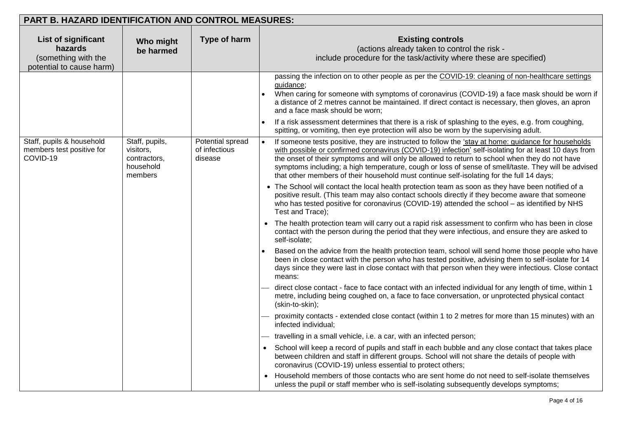| <b>PART B. HAZARD IDENTIFICATION AND CONTROL MEASURES:</b>                               |                                                                     |                                              |                                                                                                                                                                                                                                                                                                                                                                                                                                                                                                                                                          |
|------------------------------------------------------------------------------------------|---------------------------------------------------------------------|----------------------------------------------|----------------------------------------------------------------------------------------------------------------------------------------------------------------------------------------------------------------------------------------------------------------------------------------------------------------------------------------------------------------------------------------------------------------------------------------------------------------------------------------------------------------------------------------------------------|
| <b>List of significant</b><br>hazards<br>(something with the<br>potential to cause harm) | Who might<br>be harmed                                              | Type of harm                                 | <b>Existing controls</b><br>(actions already taken to control the risk -<br>include procedure for the task/activity where these are specified)                                                                                                                                                                                                                                                                                                                                                                                                           |
|                                                                                          |                                                                     |                                              | passing the infection on to other people as per the COVID-19: cleaning of non-healthcare settings<br>guidance;<br>When caring for someone with symptoms of coronavirus (COVID-19) a face mask should be worn if<br>a distance of 2 metres cannot be maintained. If direct contact is necessary, then gloves, an apron<br>and a face mask should be worn;<br>If a risk assessment determines that there is a risk of splashing to the eyes, e.g. from coughing,<br>spitting, or vomiting, then eye protection will also be worn by the supervising adult. |
| Staff, pupils & household<br>members test positive for<br>COVID-19                       | Staff, pupils,<br>visitors,<br>contractors,<br>household<br>members | Potential spread<br>of infectious<br>disease | If someone tests positive, they are instructed to follow the 'stay at home: guidance for households<br>with possible or confirmed coronavirus (COVID-19) infection' self-isolating for at least 10 days from<br>the onset of their symptoms and will only be allowed to return to school when they do not have<br>symptoms including; a high temperature, cough or loss of sense of smell/taste. They will be advised<br>that other members of their household must continue self-isolating for the full 14 days;                                        |
|                                                                                          |                                                                     |                                              | • The School will contact the local health protection team as soon as they have been notified of a<br>positive result. (This team may also contact schools directly if they become aware that someone<br>who has tested positive for coronavirus (COVID-19) attended the school - as identified by NHS<br>Test and Trace);                                                                                                                                                                                                                               |
|                                                                                          |                                                                     |                                              | The health protection team will carry out a rapid risk assessment to confirm who has been in close<br>contact with the person during the period that they were infectious, and ensure they are asked to<br>self-isolate;                                                                                                                                                                                                                                                                                                                                 |
|                                                                                          |                                                                     |                                              | Based on the advice from the health protection team, school will send home those people who have<br>been in close contact with the person who has tested positive, advising them to self-isolate for 14<br>days since they were last in close contact with that person when they were infectious. Close contact<br>means:                                                                                                                                                                                                                                |
|                                                                                          |                                                                     |                                              | direct close contact - face to face contact with an infected individual for any length of time, within 1<br>metre, including being coughed on, a face to face conversation, or unprotected physical contact<br>(skin-to-skin);                                                                                                                                                                                                                                                                                                                           |
|                                                                                          |                                                                     |                                              | proximity contacts - extended close contact (within 1 to 2 metres for more than 15 minutes) with an<br>infected individual;                                                                                                                                                                                                                                                                                                                                                                                                                              |
|                                                                                          |                                                                     |                                              | travelling in a small vehicle, i.e. a car, with an infected person;                                                                                                                                                                                                                                                                                                                                                                                                                                                                                      |
|                                                                                          |                                                                     |                                              | School will keep a record of pupils and staff in each bubble and any close contact that takes place<br>between children and staff in different groups. School will not share the details of people with<br>coronavirus (COVID-19) unless essential to protect others;                                                                                                                                                                                                                                                                                    |
|                                                                                          |                                                                     |                                              | Household members of those contacts who are sent home do not need to self-isolate themselves<br>unless the pupil or staff member who is self-isolating subsequently develops symptoms;                                                                                                                                                                                                                                                                                                                                                                   |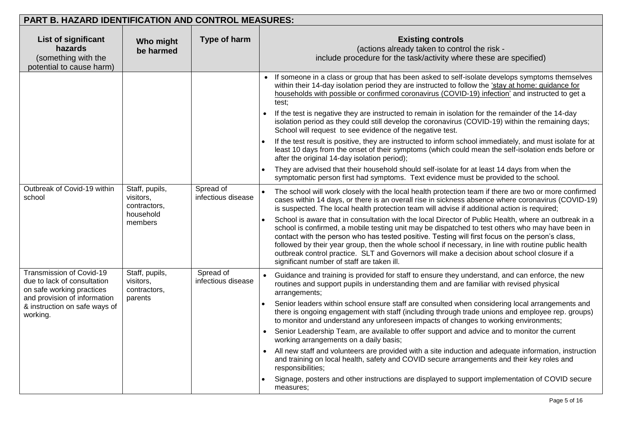| <b>PART B. HAZARD IDENTIFICATION AND CONTROL MEASURES:</b>                               |                                                          |                                                                                                                                                                                                                                                                                                                                                                                                                                                                                                                                                                    |                                                                                                                                                                                                                                                                                                                     |
|------------------------------------------------------------------------------------------|----------------------------------------------------------|--------------------------------------------------------------------------------------------------------------------------------------------------------------------------------------------------------------------------------------------------------------------------------------------------------------------------------------------------------------------------------------------------------------------------------------------------------------------------------------------------------------------------------------------------------------------|---------------------------------------------------------------------------------------------------------------------------------------------------------------------------------------------------------------------------------------------------------------------------------------------------------------------|
| <b>List of significant</b><br>hazards<br>(something with the<br>potential to cause harm) | Who might<br>be harmed                                   | Type of harm                                                                                                                                                                                                                                                                                                                                                                                                                                                                                                                                                       | <b>Existing controls</b><br>(actions already taken to control the risk -<br>include procedure for the task/activity where these are specified)                                                                                                                                                                      |
|                                                                                          |                                                          |                                                                                                                                                                                                                                                                                                                                                                                                                                                                                                                                                                    | • If someone in a class or group that has been asked to self-isolate develops symptoms themselves<br>within their 14-day isolation period they are instructed to follow the 'stay at home: guidance for<br>households with possible or confirmed coronavirus (COVID-19) infection' and instructed to get a<br>test: |
|                                                                                          |                                                          |                                                                                                                                                                                                                                                                                                                                                                                                                                                                                                                                                                    | If the test is negative they are instructed to remain in isolation for the remainder of the 14-day<br>$\bullet$<br>isolation period as they could still develop the coronavirus (COVID-19) within the remaining days;<br>School will request to see evidence of the negative test.                                  |
|                                                                                          |                                                          |                                                                                                                                                                                                                                                                                                                                                                                                                                                                                                                                                                    | If the test result is positive, they are instructed to inform school immediately, and must isolate for at<br>least 10 days from the onset of their symptoms (which could mean the self-isolation ends before or<br>after the original 14-day isolation period);                                                     |
|                                                                                          |                                                          |                                                                                                                                                                                                                                                                                                                                                                                                                                                                                                                                                                    | They are advised that their household should self-isolate for at least 14 days from when the<br>symptomatic person first had symptoms. Text evidence must be provided to the school.                                                                                                                                |
| Outbreak of Covid-19 within<br>school                                                    | Staff, pupils,<br>visitors,<br>contractors,<br>household | Spread of<br>infectious disease                                                                                                                                                                                                                                                                                                                                                                                                                                                                                                                                    | The school will work closely with the local health protection team if there are two or more confirmed<br>cases within 14 days, or there is an overall rise in sickness absence where coronavirus (COVID-19)<br>is suspected. The local health protection team will advise if additional action is required;         |
| members                                                                                  |                                                          | School is aware that in consultation with the local Director of Public Health, where an outbreak in a<br>school is confirmed, a mobile testing unit may be dispatched to test others who may have been in<br>contact with the person who has tested positive. Testing will first focus on the person's class,<br>followed by their year group, then the whole school if necessary, in line with routine public health<br>outbreak control practice. SLT and Governors will make a decision about school closure if a<br>significant number of staff are taken ill. |                                                                                                                                                                                                                                                                                                                     |
| Transmission of Covid-19<br>due to lack of consultation<br>on safe working practices     | Staff, pupils,<br>visitors,<br>contractors,              | Spread of<br>infectious disease                                                                                                                                                                                                                                                                                                                                                                                                                                                                                                                                    | Guidance and training is provided for staff to ensure they understand, and can enforce, the new<br>routines and support pupils in understanding them and are familiar with revised physical<br>arrangements;                                                                                                        |
| and provision of information<br>& instruction on safe ways of<br>working.                |                                                          | parents                                                                                                                                                                                                                                                                                                                                                                                                                                                                                                                                                            | Senior leaders within school ensure staff are consulted when considering local arrangements and<br>there is ongoing engagement with staff (including through trade unions and employee rep. groups)<br>to monitor and understand any unforeseen impacts of changes to working environments;                         |
|                                                                                          |                                                          |                                                                                                                                                                                                                                                                                                                                                                                                                                                                                                                                                                    | Senior Leadership Team, are available to offer support and advice and to monitor the current<br>$\bullet$<br>working arrangements on a daily basis;                                                                                                                                                                 |
|                                                                                          |                                                          |                                                                                                                                                                                                                                                                                                                                                                                                                                                                                                                                                                    | All new staff and volunteers are provided with a site induction and adequate information, instruction<br>$\bullet$<br>and training on local health, safety and COVID secure arrangements and their key roles and<br>responsibilities;                                                                               |
|                                                                                          |                                                          |                                                                                                                                                                                                                                                                                                                                                                                                                                                                                                                                                                    | Signage, posters and other instructions are displayed to support implementation of COVID secure<br>measures;                                                                                                                                                                                                        |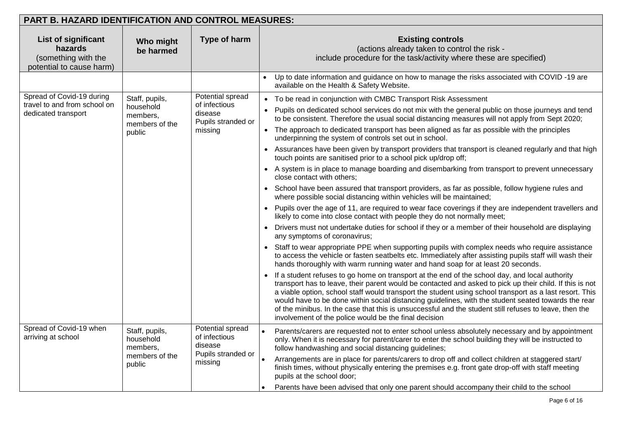| PART B. HAZARD IDENTIFICATION AND CONTROL MEASURES:                 |                                                                               |                                                                                                                                                                                                                                                                                                                                                                                                                                                                                                                                                                                                                                                                                                                                                                                                                                                                                                                                                                                                                                                                                                                                                                                                                                                                                                                                                                                                                                                                                                                                                                                                                                                                                                                                                                                                                                                                                                                                                                                                                                                                                                                                                              |  |
|---------------------------------------------------------------------|-------------------------------------------------------------------------------|--------------------------------------------------------------------------------------------------------------------------------------------------------------------------------------------------------------------------------------------------------------------------------------------------------------------------------------------------------------------------------------------------------------------------------------------------------------------------------------------------------------------------------------------------------------------------------------------------------------------------------------------------------------------------------------------------------------------------------------------------------------------------------------------------------------------------------------------------------------------------------------------------------------------------------------------------------------------------------------------------------------------------------------------------------------------------------------------------------------------------------------------------------------------------------------------------------------------------------------------------------------------------------------------------------------------------------------------------------------------------------------------------------------------------------------------------------------------------------------------------------------------------------------------------------------------------------------------------------------------------------------------------------------------------------------------------------------------------------------------------------------------------------------------------------------------------------------------------------------------------------------------------------------------------------------------------------------------------------------------------------------------------------------------------------------------------------------------------------------------------------------------------------------|--|
| Who might<br>be harmed                                              | Type of harm                                                                  | <b>Existing controls</b><br>(actions already taken to control the risk -<br>include procedure for the task/activity where these are specified)                                                                                                                                                                                                                                                                                                                                                                                                                                                                                                                                                                                                                                                                                                                                                                                                                                                                                                                                                                                                                                                                                                                                                                                                                                                                                                                                                                                                                                                                                                                                                                                                                                                                                                                                                                                                                                                                                                                                                                                                               |  |
|                                                                     |                                                                               | Up to date information and guidance on how to manage the risks associated with COVID-19 are<br>available on the Health & Safety Website.                                                                                                                                                                                                                                                                                                                                                                                                                                                                                                                                                                                                                                                                                                                                                                                                                                                                                                                                                                                                                                                                                                                                                                                                                                                                                                                                                                                                                                                                                                                                                                                                                                                                                                                                                                                                                                                                                                                                                                                                                     |  |
| Staff, pupils,<br>household<br>members,<br>members of the<br>public | Potential spread<br>of infectious<br>disease<br>Pupils stranded or<br>missing | • To be read in conjunction with CMBC Transport Risk Assessment<br>Pupils on dedicated school services do not mix with the general public on those journeys and tend<br>to be consistent. Therefore the usual social distancing measures will not apply from Sept 2020;<br>• The approach to dedicated transport has been aligned as far as possible with the principles<br>underpinning the system of controls set out in school.<br>• Assurances have been given by transport providers that transport is cleaned regularly and that high<br>touch points are sanitised prior to a school pick up/drop off;<br>• A system is in place to manage boarding and disembarking from transport to prevent unnecessary<br>close contact with others;<br>• School have been assured that transport providers, as far as possible, follow hygiene rules and<br>where possible social distancing within vehicles will be maintained;<br>• Pupils over the age of 11, are required to wear face coverings if they are independent travellers and<br>likely to come into close contact with people they do not normally meet;<br>Drivers must not undertake duties for school if they or a member of their household are displaying<br>any symptoms of coronavirus;<br>Staff to wear appropriate PPE when supporting pupils with complex needs who require assistance<br>to access the vehicle or fasten seatbelts etc. Immediately after assisting pupils staff will wash their<br>hands thoroughly with warm running water and hand soap for at least 20 seconds.<br>If a student refuses to go home on transport at the end of the school day, and local authority<br>transport has to leave, their parent would be contacted and asked to pick up their child. If this is not<br>a viable option, school staff would transport the student using school transport as a last resort. This<br>would have to be done within social distancing guidelines, with the student seated towards the rear<br>of the minibus. In the case that this is unsuccessful and the student still refuses to leave, then the<br>involvement of the police would be the final decision |  |
| Staff, pupils,<br>household<br>members,<br>members of the<br>public | Potential spread<br>of infectious<br>disease<br>Pupils stranded or<br>missing | Parents/carers are requested not to enter school unless absolutely necessary and by appointment<br>only. When it is necessary for parent/carer to enter the school building they will be instructed to<br>follow handwashing and social distancing guidelines;<br>Arrangements are in place for parents/carers to drop off and collect children at staggered start/<br>finish times, without physically entering the premises e.g. front gate drop-off with staff meeting<br>pupils at the school door;<br>Parents have been advised that only one parent should accompany their child to the school                                                                                                                                                                                                                                                                                                                                                                                                                                                                                                                                                                                                                                                                                                                                                                                                                                                                                                                                                                                                                                                                                                                                                                                                                                                                                                                                                                                                                                                                                                                                                         |  |
|                                                                     |                                                                               |                                                                                                                                                                                                                                                                                                                                                                                                                                                                                                                                                                                                                                                                                                                                                                                                                                                                                                                                                                                                                                                                                                                                                                                                                                                                                                                                                                                                                                                                                                                                                                                                                                                                                                                                                                                                                                                                                                                                                                                                                                                                                                                                                              |  |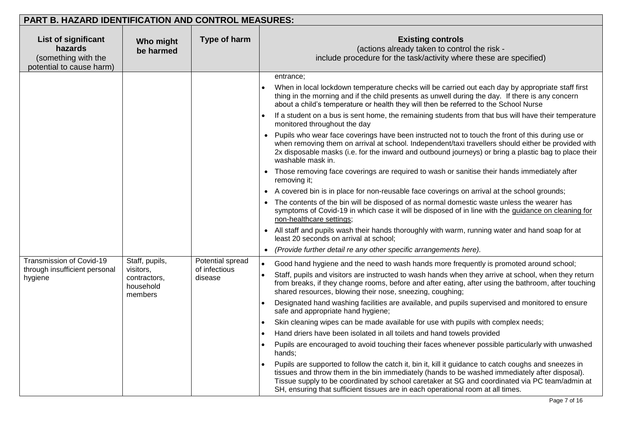| PART B. HAZARD IDENTIFICATION AND CONTROL MEASURES:                               |                                                                     |                                              |                                                                                                                                                                                                                                                                                                                                                                                                                                                                                                                                                                                                                                                                                                                                                                                                                                                                                                                                                                                                                                                                                                                                                                                                                                                                                                                                                                                             |
|-----------------------------------------------------------------------------------|---------------------------------------------------------------------|----------------------------------------------|---------------------------------------------------------------------------------------------------------------------------------------------------------------------------------------------------------------------------------------------------------------------------------------------------------------------------------------------------------------------------------------------------------------------------------------------------------------------------------------------------------------------------------------------------------------------------------------------------------------------------------------------------------------------------------------------------------------------------------------------------------------------------------------------------------------------------------------------------------------------------------------------------------------------------------------------------------------------------------------------------------------------------------------------------------------------------------------------------------------------------------------------------------------------------------------------------------------------------------------------------------------------------------------------------------------------------------------------------------------------------------------------|
| List of significant<br>hazards<br>(something with the<br>potential to cause harm) | Who might<br>be harmed                                              | Type of harm                                 | <b>Existing controls</b><br>(actions already taken to control the risk -<br>include procedure for the task/activity where these are specified)                                                                                                                                                                                                                                                                                                                                                                                                                                                                                                                                                                                                                                                                                                                                                                                                                                                                                                                                                                                                                                                                                                                                                                                                                                              |
|                                                                                   |                                                                     |                                              | entrance;<br>When in local lockdown temperature checks will be carried out each day by appropriate staff first<br>thing in the morning and if the child presents as unwell during the day. If there is any concern<br>about a child's temperature or health they will then be referred to the School Nurse<br>If a student on a bus is sent home, the remaining students from that bus will have their temperature<br>monitored throughout the day<br>Pupils who wear face coverings have been instructed not to touch the front of this during use or<br>when removing them on arrival at school. Independent/taxi travellers should either be provided with<br>2x disposable masks (i.e. for the inward and outbound journeys) or bring a plastic bag to place their<br>washable mask in.<br>Those removing face coverings are required to wash or sanitise their hands immediately after<br>removing it;<br>• A covered bin is in place for non-reusable face coverings on arrival at the school grounds;<br>The contents of the bin will be disposed of as normal domestic waste unless the wearer has<br>symptoms of Covid-19 in which case it will be disposed of in line with the guidance on cleaning for<br>non-healthcare settings;<br>• All staff and pupils wash their hands thoroughly with warm, running water and hand soap for at<br>least 20 seconds on arrival at school; |
| <b>Transmission of Covid-19</b><br>through insufficient personal<br>hygiene       | Staff, pupils,<br>visitors,<br>contractors,<br>household<br>members | Potential spread<br>of infectious<br>disease | (Provide further detail re any other specific arrangements here).<br>Good hand hygiene and the need to wash hands more frequently is promoted around school;<br>$\bullet$<br>Staff, pupils and visitors are instructed to wash hands when they arrive at school, when they return<br>from breaks, if they change rooms, before and after eating, after using the bathroom, after touching<br>shared resources, blowing their nose, sneezing, coughing;<br>Designated hand washing facilities are available, and pupils supervised and monitored to ensure<br>safe and appropriate hand hygiene;<br>Skin cleaning wipes can be made available for use with pupils with complex needs;<br>$\bullet$<br>Hand driers have been isolated in all toilets and hand towels provided<br>$\bullet$<br>Pupils are encouraged to avoid touching their faces whenever possible particularly with unwashed<br>hands;<br>Pupils are supported to follow the catch it, bin it, kill it guidance to catch coughs and sneezes in<br>tissues and throw them in the bin immediately (hands to be washed immediately after disposal).<br>Tissue supply to be coordinated by school caretaker at SG and coordinated via PC team/admin at<br>SH, ensuring that sufficient tissues are in each operational room at all times.                                                                                       |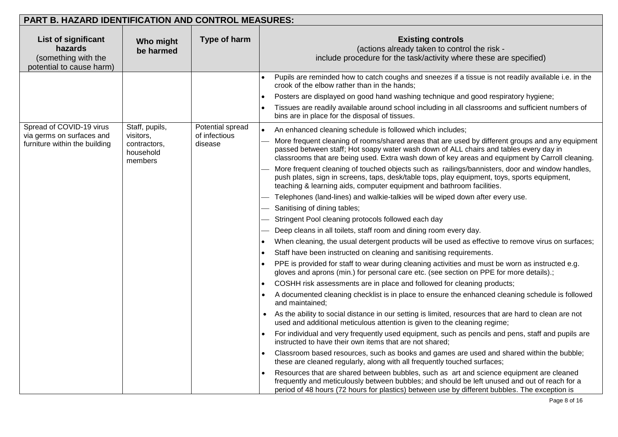| Type of harm<br><b>Existing controls</b><br><b>List of significant</b><br>Who might<br>(actions already taken to control the risk -<br>hazards<br>be harmed<br>(something with the<br>include procedure for the task/activity where these are specified)<br>potential to cause harm)<br>Pupils are reminded how to catch coughs and sneezes if a tissue is not readily available i.e. in the<br>crook of the elbow rather than in the hands;<br>Posters are displayed on good hand washing technique and good respiratory hygiene;<br>Tissues are readily available around school including in all classrooms and sufficient numbers of<br>bins are in place for the disposal of tissues.<br>Spread of COVID-19 virus<br>Staff, pupils,<br>Potential spread<br>An enhanced cleaning schedule is followed which includes;<br>via germs on surfaces and<br>visitors,<br>of infectious<br>More frequent cleaning of rooms/shared areas that are used by different groups and any equipment<br>furniture within the building<br>contractors,<br>disease<br>passed between staff; Hot soapy water wash down of ALL chairs and tables every day in<br>household<br>classrooms that are being used. Extra wash down of key areas and equipment by Carroll cleaning.<br>members<br>More frequent cleaning of touched objects such as railings/bannisters, door and window handles,<br>push plates, sign in screens, taps, desk/table tops, play equipment, toys, sports equipment,<br>teaching & learning aids, computer equipment and bathroom facilities.<br>Telephones (land-lines) and walkie-talkies will be wiped down after every use.<br>Sanitising of dining tables;<br>Stringent Pool cleaning protocols followed each day<br>Deep cleans in all toilets, staff room and dining room every day.<br>When cleaning, the usual detergent products will be used as effective to remove virus on surfaces;<br>$\bullet$<br>Staff have been instructed on cleaning and sanitising requirements.<br>$\bullet$<br>PPE is provided for staff to wear during cleaning activities and must be worn as instructed e.g.<br>gloves and aprons (min.) for personal care etc. (see section on PPE for more details).; | <b>PART B. HAZARD IDENTIFICATION AND CONTROL MEASURES:</b> |  |                                                                         |
|---------------------------------------------------------------------------------------------------------------------------------------------------------------------------------------------------------------------------------------------------------------------------------------------------------------------------------------------------------------------------------------------------------------------------------------------------------------------------------------------------------------------------------------------------------------------------------------------------------------------------------------------------------------------------------------------------------------------------------------------------------------------------------------------------------------------------------------------------------------------------------------------------------------------------------------------------------------------------------------------------------------------------------------------------------------------------------------------------------------------------------------------------------------------------------------------------------------------------------------------------------------------------------------------------------------------------------------------------------------------------------------------------------------------------------------------------------------------------------------------------------------------------------------------------------------------------------------------------------------------------------------------------------------------------------------------------------------------------------------------------------------------------------------------------------------------------------------------------------------------------------------------------------------------------------------------------------------------------------------------------------------------------------------------------------------------------------------------------------------------------------------------------------------------------------------------------------|------------------------------------------------------------|--|-------------------------------------------------------------------------|
|                                                                                                                                                                                                                                                                                                                                                                                                                                                                                                                                                                                                                                                                                                                                                                                                                                                                                                                                                                                                                                                                                                                                                                                                                                                                                                                                                                                                                                                                                                                                                                                                                                                                                                                                                                                                                                                                                                                                                                                                                                                                                                                                                                                                         |                                                            |  |                                                                         |
|                                                                                                                                                                                                                                                                                                                                                                                                                                                                                                                                                                                                                                                                                                                                                                                                                                                                                                                                                                                                                                                                                                                                                                                                                                                                                                                                                                                                                                                                                                                                                                                                                                                                                                                                                                                                                                                                                                                                                                                                                                                                                                                                                                                                         |                                                            |  |                                                                         |
| A documented cleaning checklist is in place to ensure the enhanced cleaning schedule is followed<br>and maintained;<br>As the ability to social distance in our setting is limited, resources that are hard to clean are not<br>used and additional meticulous attention is given to the cleaning regime;<br>For individual and very frequently used equipment, such as pencils and pens, staff and pupils are<br>instructed to have their own items that are not shared;<br>Classroom based resources, such as books and games are used and shared within the bubble;<br>these are cleaned regularly, along with all frequently touched surfaces;<br>Resources that are shared between bubbles, such as art and science equipment are cleaned<br>frequently and meticulously between bubbles; and should be left unused and out of reach for a                                                                                                                                                                                                                                                                                                                                                                                                                                                                                                                                                                                                                                                                                                                                                                                                                                                                                                                                                                                                                                                                                                                                                                                                                                                                                                                                                         |                                                            |  | COSHH risk assessments are in place and followed for cleaning products; |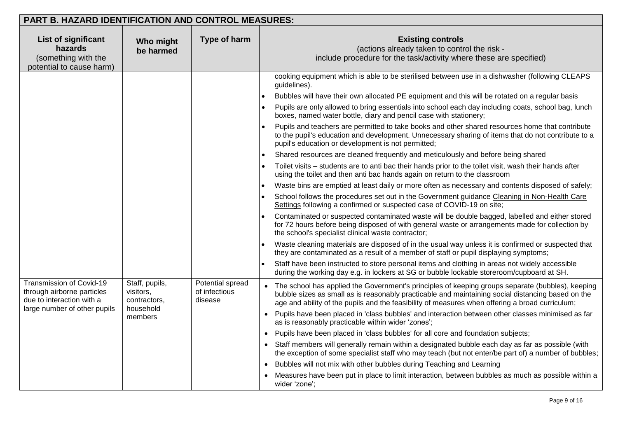| <b>PART B. HAZARD IDENTIFICATION AND CONTROL MEASURES:</b>                                                          |                                                                     |                                              |                                                                                                                                                                                                                                                                                                                                                                                                                                                                                                                                                                                                                                                                                                                                                                                                                                                                                                                                                                                                                                                                                                                                                                                                                                                                                                                                                                                                                                                                                                                                                                                                                                                                                                                                                                                                                                                                                                        |
|---------------------------------------------------------------------------------------------------------------------|---------------------------------------------------------------------|----------------------------------------------|--------------------------------------------------------------------------------------------------------------------------------------------------------------------------------------------------------------------------------------------------------------------------------------------------------------------------------------------------------------------------------------------------------------------------------------------------------------------------------------------------------------------------------------------------------------------------------------------------------------------------------------------------------------------------------------------------------------------------------------------------------------------------------------------------------------------------------------------------------------------------------------------------------------------------------------------------------------------------------------------------------------------------------------------------------------------------------------------------------------------------------------------------------------------------------------------------------------------------------------------------------------------------------------------------------------------------------------------------------------------------------------------------------------------------------------------------------------------------------------------------------------------------------------------------------------------------------------------------------------------------------------------------------------------------------------------------------------------------------------------------------------------------------------------------------------------------------------------------------------------------------------------------------|
| <b>List of significant</b><br>hazards<br>(something with the<br>potential to cause harm)                            | Who might<br>be harmed                                              | Type of harm                                 | <b>Existing controls</b><br>(actions already taken to control the risk -<br>include procedure for the task/activity where these are specified)                                                                                                                                                                                                                                                                                                                                                                                                                                                                                                                                                                                                                                                                                                                                                                                                                                                                                                                                                                                                                                                                                                                                                                                                                                                                                                                                                                                                                                                                                                                                                                                                                                                                                                                                                         |
|                                                                                                                     |                                                                     |                                              | cooking equipment which is able to be sterilised between use in a dishwasher (following CLEAPS<br>guidelines).<br>Bubbles will have their own allocated PE equipment and this will be rotated on a regular basis<br>$\bullet$<br>Pupils are only allowed to bring essentials into school each day including coats, school bag, lunch<br>$\bullet$<br>boxes, named water bottle, diary and pencil case with stationery;<br>Pupils and teachers are permitted to take books and other shared resources home that contribute<br>to the pupil's education and development. Unnecessary sharing of items that do not contribute to a<br>pupil's education or development is not permitted;<br>Shared resources are cleaned frequently and meticulously and before being shared<br>Toilet visits - students are to anti bac their hands prior to the toilet visit, wash their hands after<br>using the toilet and then anti bac hands again on return to the classroom<br>Waste bins are emptied at least daily or more often as necessary and contents disposed of safely;<br>School follows the procedures set out in the Government guidance Cleaning in Non-Health Care<br>Settings following a confirmed or suspected case of COVID-19 on site;<br>Contaminated or suspected contaminated waste will be double bagged, labelled and either stored<br>for 72 hours before being disposed of with general waste or arrangements made for collection by<br>the school's specialist clinical waste contractor;<br>Waste cleaning materials are disposed of in the usual way unless it is confirmed or suspected that<br>they are contaminated as a result of a member of staff or pupil displaying symptoms;<br>Staff have been instructed to store personal items and clothing in areas not widely accessible<br>during the working day e.g. in lockers at SG or bubble lockable storeroom/cupboard at SH. |
| Transmission of Covid-19<br>through airborne particles<br>due to interaction with a<br>large number of other pupils | Staff, pupils,<br>visitors,<br>contractors,<br>household<br>members | Potential spread<br>of infectious<br>disease | The school has applied the Government's principles of keeping groups separate (bubbles), keeping<br>bubble sizes as small as is reasonably practicable and maintaining social distancing based on the<br>age and ability of the pupils and the feasibility of measures when offering a broad curriculum;<br>Pupils have been placed in 'class bubbles' and interaction between other classes minimised as far<br>$\bullet$<br>as is reasonably practicable within wider 'zones';<br>Pupils have been placed in 'class bubbles' for all core and foundation subjects;<br>$\bullet$<br>Staff members will generally remain within a designated bubble each day as far as possible (with<br>the exception of some specialist staff who may teach (but not enter/be part of) a number of bubbles;<br>Bubbles will not mix with other bubbles during Teaching and Learning<br>Measures have been put in place to limit interaction, between bubbles as much as possible within a<br>wider 'zone';                                                                                                                                                                                                                                                                                                                                                                                                                                                                                                                                                                                                                                                                                                                                                                                                                                                                                                           |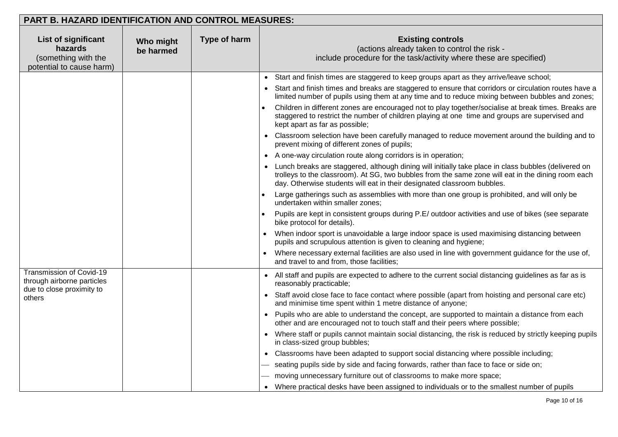| <b>PART B. HAZARD IDENTIFICATION AND CONTROL MEASURES:</b>                               |                        |              |                                                                                                                                                                                                                                                                                       |
|------------------------------------------------------------------------------------------|------------------------|--------------|---------------------------------------------------------------------------------------------------------------------------------------------------------------------------------------------------------------------------------------------------------------------------------------|
| <b>List of significant</b><br>hazards<br>(something with the<br>potential to cause harm) | Who might<br>be harmed | Type of harm | <b>Existing controls</b><br>(actions already taken to control the risk -<br>include procedure for the task/activity where these are specified)                                                                                                                                        |
|                                                                                          |                        |              | Start and finish times are staggered to keep groups apart as they arrive/leave school;<br>$\bullet$                                                                                                                                                                                   |
|                                                                                          |                        |              | Start and finish times and breaks are staggered to ensure that corridors or circulation routes have a<br>limited number of pupils using them at any time and to reduce mixing between bubbles and zones;                                                                              |
|                                                                                          |                        |              | Children in different zones are encouraged not to play together/socialise at break times. Breaks are<br>staggered to restrict the number of children playing at one time and groups are supervised and<br>kept apart as far as possible;                                              |
|                                                                                          |                        |              | Classroom selection have been carefully managed to reduce movement around the building and to<br>prevent mixing of different zones of pupils;                                                                                                                                         |
|                                                                                          |                        |              | A one-way circulation route along corridors is in operation;                                                                                                                                                                                                                          |
|                                                                                          |                        |              | Lunch breaks are staggered, although dining will initially take place in class bubbles (delivered on<br>trolleys to the classroom). At SG, two bubbles from the same zone will eat in the dining room each<br>day. Otherwise students will eat in their designated classroom bubbles. |
|                                                                                          |                        |              | Large gatherings such as assemblies with more than one group is prohibited, and will only be<br>undertaken within smaller zones;                                                                                                                                                      |
|                                                                                          |                        |              | Pupils are kept in consistent groups during P.E/ outdoor activities and use of bikes (see separate<br>bike protocol for details).                                                                                                                                                     |
|                                                                                          |                        |              | When indoor sport is unavoidable a large indoor space is used maximising distancing between<br>pupils and scrupulous attention is given to cleaning and hygiene;                                                                                                                      |
|                                                                                          |                        |              | Where necessary external facilities are also used in line with government guidance for the use of,<br>and travel to and from, those facilities;                                                                                                                                       |
| Transmission of Covid-19<br>through airborne particles                                   |                        |              | All staff and pupils are expected to adhere to the current social distancing guidelines as far as is<br>reasonably practicable;                                                                                                                                                       |
| due to close proximity to<br>others                                                      |                        |              | Staff avoid close face to face contact where possible (apart from hoisting and personal care etc)<br>and minimise time spent within 1 metre distance of anyone;                                                                                                                       |
|                                                                                          |                        |              | Pupils who are able to understand the concept, are supported to maintain a distance from each<br>other and are encouraged not to touch staff and their peers where possible;                                                                                                          |
|                                                                                          |                        |              | Where staff or pupils cannot maintain social distancing, the risk is reduced by strictly keeping pupils<br>in class-sized group bubbles;                                                                                                                                              |
|                                                                                          |                        |              | • Classrooms have been adapted to support social distancing where possible including;                                                                                                                                                                                                 |
|                                                                                          |                        |              | seating pupils side by side and facing forwards, rather than face to face or side on;                                                                                                                                                                                                 |
|                                                                                          |                        |              | moving unnecessary furniture out of classrooms to make more space;                                                                                                                                                                                                                    |
|                                                                                          |                        |              | Where practical desks have been assigned to individuals or to the smallest number of pupils                                                                                                                                                                                           |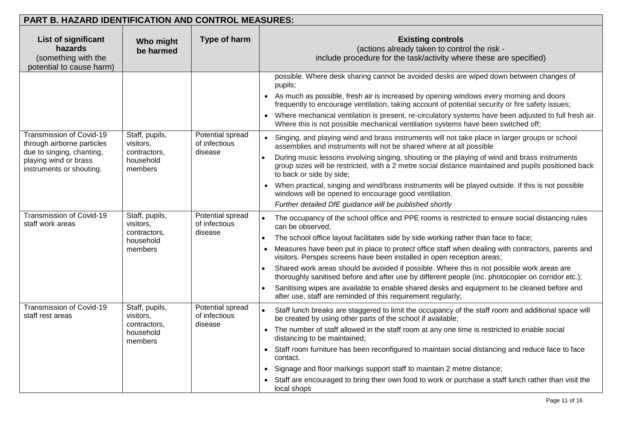| PART B. HAZARD IDENTIFICATION AND CONTROL MEASURES:                                                                                      |                                                                     |                                              |                                                                                                                                                                                                                                                                                                                                                                                                                                                                                                                                                                                                                                                                                                                                                                                                        |
|------------------------------------------------------------------------------------------------------------------------------------------|---------------------------------------------------------------------|----------------------------------------------|--------------------------------------------------------------------------------------------------------------------------------------------------------------------------------------------------------------------------------------------------------------------------------------------------------------------------------------------------------------------------------------------------------------------------------------------------------------------------------------------------------------------------------------------------------------------------------------------------------------------------------------------------------------------------------------------------------------------------------------------------------------------------------------------------------|
| <b>List of significant</b><br>hazards<br>(something with the<br>potential to cause harm)                                                 | Who might<br>be harmed                                              | Type of harm                                 | <b>Existing controls</b><br>(actions already taken to control the risk -<br>include procedure for the task/activity where these are specified)                                                                                                                                                                                                                                                                                                                                                                                                                                                                                                                                                                                                                                                         |
|                                                                                                                                          |                                                                     |                                              | possible. Where desk sharing cannot be avoided desks are wiped down between changes of<br>pupils;<br>As much as possible, fresh air is increased by opening windows every morning and doors<br>frequently to encourage ventilation, taking account of potential security or fire safety issues;<br>Where mechanical ventilation is present, re-circulatory systems have been adjusted to full fresh air.<br>Where this is not possible mechanical ventilation systems have been switched off;                                                                                                                                                                                                                                                                                                          |
| Transmission of Covid-19<br>through airborne particles<br>due to singing, chanting,<br>playing wind or brass<br>instruments or shouting. | Staff, pupils,<br>visitors,<br>contractors,<br>household<br>members | Potential spread<br>of infectious<br>disease | Singing, and playing wind and brass instruments will not take place in larger groups or school<br>assemblies and instruments will not be shared where at all possible<br>During music lessons involving singing, shouting or the playing of wind and brass instruments<br>group sizes will be restricted, with a 2 metre social distance maintained and pupils positioned back<br>to back or side by side;<br>When practical, singing and wind/brass instruments will be played outside. If this is not possible<br>windows will be opened to encourage good ventilation.<br>Further detailed DfE guidance will be published shortly                                                                                                                                                                   |
| Transmission of Covid-19<br>staff work areas                                                                                             | Staff, pupils,<br>visitors,<br>contractors,<br>household<br>members | Potential spread<br>of infectious<br>disease | The occupancy of the school office and PPE rooms is restricted to ensure social distancing rules<br>can be observed;<br>The school office layout facilitates side by side working rather than face to face;<br>$\bullet$<br>Measures have been put in place to protect office staff when dealing with contractors, parents and<br>$\bullet$<br>visitors. Perspex screens have been installed in open reception areas;<br>Shared work areas should be avoided if possible. Where this is not possible work areas are<br>$\bullet$<br>thoroughly sanitised before and after use by different people (inc. photocopier on corridor etc.);<br>Sanitising wipes are available to enable shared desks and equipment to be cleaned before and<br>after use, staff are reminded of this requirement regularly; |
| Transmission of Covid-19<br>staff rest areas                                                                                             | Staff, pupils,<br>visitors,<br>contractors,<br>household<br>members | Potential spread<br>of infectious<br>disease | Staff lunch breaks are staggered to limit the occupancy of the staff room and additional space will<br>be created by using other parts of the school if available;<br>The number of staff allowed in the staff room at any one time is restricted to enable social<br>$\bullet$<br>distancing to be maintained;<br>Staff room furniture has been reconfigured to maintain social distancing and reduce face to face<br>contact.<br>Signage and floor markings support staff to maintain 2 metre distance;<br>$\bullet$<br>Staff are encouraged to bring their own food to work or purchase a staff lunch rather than visit the<br>local shops                                                                                                                                                          |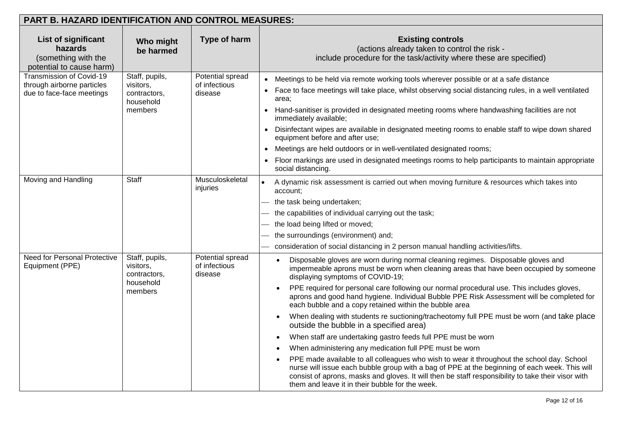| <b>PART B. HAZARD IDENTIFICATION AND CONTROL MEASURES:</b>                               |                                                                     |                                              |                                                                                                                                                                                                                                                                                                                                                                                                                                                                                                                                                                                                                                                                                                                                                                                                                                                                                                                                                                                                                                                                                                                                        |  |  |  |  |
|------------------------------------------------------------------------------------------|---------------------------------------------------------------------|----------------------------------------------|----------------------------------------------------------------------------------------------------------------------------------------------------------------------------------------------------------------------------------------------------------------------------------------------------------------------------------------------------------------------------------------------------------------------------------------------------------------------------------------------------------------------------------------------------------------------------------------------------------------------------------------------------------------------------------------------------------------------------------------------------------------------------------------------------------------------------------------------------------------------------------------------------------------------------------------------------------------------------------------------------------------------------------------------------------------------------------------------------------------------------------------|--|--|--|--|
| <b>List of significant</b><br>hazards<br>(something with the<br>potential to cause harm) | Who might<br>be harmed                                              | Type of harm                                 | <b>Existing controls</b><br>(actions already taken to control the risk -<br>include procedure for the task/activity where these are specified)                                                                                                                                                                                                                                                                                                                                                                                                                                                                                                                                                                                                                                                                                                                                                                                                                                                                                                                                                                                         |  |  |  |  |
| Transmission of Covid-19<br>through airborne particles<br>due to face-face meetings      | Staff, pupils,<br>visitors,<br>contractors,<br>household<br>members | Potential spread<br>of infectious<br>disease | Meetings to be held via remote working tools wherever possible or at a safe distance<br>$\bullet$<br>Face to face meetings will take place, whilst observing social distancing rules, in a well ventilated<br>area;<br>Hand-sanitiser is provided in designated meeting rooms where handwashing facilities are not<br>immediately available;<br>Disinfectant wipes are available in designated meeting rooms to enable staff to wipe down shared<br>equipment before and after use;<br>Meetings are held outdoors or in well-ventilated designated rooms;<br>$\bullet$<br>Floor markings are used in designated meetings rooms to help participants to maintain appropriate<br>social distancing.                                                                                                                                                                                                                                                                                                                                                                                                                                      |  |  |  |  |
| Moving and Handling                                                                      | <b>Staff</b>                                                        | Musculoskeletal<br>injuries                  | A dynamic risk assessment is carried out when moving furniture & resources which takes into<br>account:<br>the task being undertaken;<br>the capabilities of individual carrying out the task;<br>the load being lifted or moved;<br>the surroundings (environment) and;<br>consideration of social distancing in 2 person manual handling activities/lifts.                                                                                                                                                                                                                                                                                                                                                                                                                                                                                                                                                                                                                                                                                                                                                                           |  |  |  |  |
| <b>Need for Personal Protective</b><br>Equipment (PPE)                                   | Staff, pupils,<br>visitors,<br>contractors,<br>household<br>members | Potential spread<br>of infectious<br>disease | Disposable gloves are worn during normal cleaning regimes. Disposable gloves and<br>impermeable aprons must be worn when cleaning areas that have been occupied by someone<br>displaying symptoms of COVID-19;<br>PPE required for personal care following our normal procedural use. This includes gloves,<br>aprons and good hand hygiene. Individual Bubble PPE Risk Assessment will be completed for<br>each bubble and a copy retained within the bubble area<br>When dealing with students re suctioning/tracheotomy full PPE must be worn (and take place<br>$\bullet$<br>outside the bubble in a specified area)<br>When staff are undertaking gastro feeds full PPE must be worn<br>$\bullet$<br>When administering any medication full PPE must be worn<br>$\bullet$<br>PPE made available to all colleagues who wish to wear it throughout the school day. School<br>nurse will issue each bubble group with a bag of PPE at the beginning of each week. This will<br>consist of aprons, masks and gloves. It will then be staff responsibility to take their visor with<br>them and leave it in their bubble for the week. |  |  |  |  |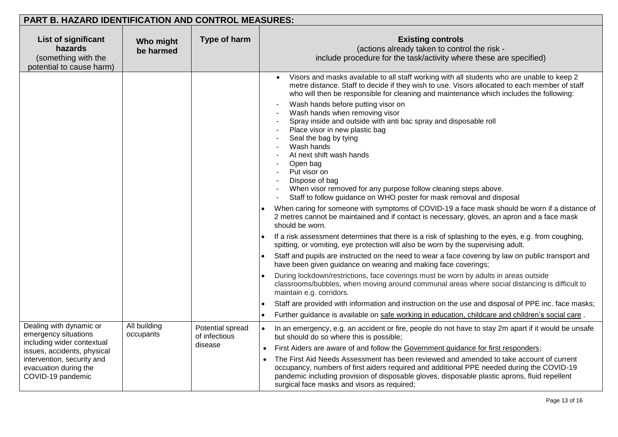| PART B. HAZARD IDENTIFICATION AND CONTROL MEASURES:                                                                                                                                      |                           |                                              |                                                                                                                                                                                                                                                                                                                                                                                                                                                                                                                                                                                                                                                                                                                                                                                                                                                                                                                                                                                                                                                                                                                                                                                                                                                                                                                                                                                                                                                                                                                                                                                                                                                                                                                                                         |  |  |
|------------------------------------------------------------------------------------------------------------------------------------------------------------------------------------------|---------------------------|----------------------------------------------|---------------------------------------------------------------------------------------------------------------------------------------------------------------------------------------------------------------------------------------------------------------------------------------------------------------------------------------------------------------------------------------------------------------------------------------------------------------------------------------------------------------------------------------------------------------------------------------------------------------------------------------------------------------------------------------------------------------------------------------------------------------------------------------------------------------------------------------------------------------------------------------------------------------------------------------------------------------------------------------------------------------------------------------------------------------------------------------------------------------------------------------------------------------------------------------------------------------------------------------------------------------------------------------------------------------------------------------------------------------------------------------------------------------------------------------------------------------------------------------------------------------------------------------------------------------------------------------------------------------------------------------------------------------------------------------------------------------------------------------------------------|--|--|
| List of significant<br>hazards<br>(something with the<br>potential to cause harm)                                                                                                        | Who might<br>be harmed    | Type of harm                                 | <b>Existing controls</b><br>(actions already taken to control the risk -<br>include procedure for the task/activity where these are specified)                                                                                                                                                                                                                                                                                                                                                                                                                                                                                                                                                                                                                                                                                                                                                                                                                                                                                                                                                                                                                                                                                                                                                                                                                                                                                                                                                                                                                                                                                                                                                                                                          |  |  |
|                                                                                                                                                                                          |                           |                                              | Visors and masks available to all staff working with all students who are unable to keep 2<br>metre distance. Staff to decide if they wish to use. Visors allocated to each member of staff<br>who will then be responsible for cleaning and maintenance which includes the following:<br>Wash hands before putting visor on<br>Wash hands when removing visor<br>Spray inside and outside with anti bac spray and disposable roll<br>Place visor in new plastic bag<br>Seal the bag by tying<br>Wash hands<br>At next shift wash hands<br>Open bag<br>Put visor on<br>Dispose of bag<br>When visor removed for any purpose follow cleaning steps above.<br>Staff to follow guidance on WHO poster for mask removal and disposal<br>When caring for someone with symptoms of COVID-19 a face mask should be worn if a distance of<br>2 metres cannot be maintained and if contact is necessary, gloves, an apron and a face mask<br>should be worn.<br>If a risk assessment determines that there is a risk of splashing to the eyes, e.g. from coughing,<br>spitting, or vomiting, eye protection will also be worn by the supervising adult.<br>Staff and pupils are instructed on the need to wear a face covering by law on public transport and<br>have been given guidance on wearing and making face coverings;<br>During lockdown/restrictions, face coverings must be worn by adults in areas outside<br>classrooms/bubbles, when moving around communal areas where social distancing is difficult to<br>maintain e.g. corridors.<br>Staff are provided with information and instruction on the use and disposal of PPE inc. face masks;<br>Further guidance is available on safe working in education, childcare and children's social care. |  |  |
| Dealing with dynamic or<br>emergency situations<br>including wider contextual<br>issues, accidents, physical<br>intervention, security and<br>evacuation during the<br>COVID-19 pandemic | All building<br>occupants | Potential spread<br>of infectious<br>disease | In an emergency, e.g. an accident or fire, people do not have to stay 2m apart if it would be unsafe<br>$\bullet$<br>but should do so where this is possible;<br>First Aiders are aware of and follow the Government guidance for first responders;<br>$\bullet$<br>The First Aid Needs Assessment has been reviewed and amended to take account of current<br>$\bullet$<br>occupancy, numbers of first aiders required and additional PPE needed during the COVID-19<br>pandemic including provision of disposable gloves, disposable plastic aprons, fluid repellent<br>surgical face masks and visors as required;                                                                                                                                                                                                                                                                                                                                                                                                                                                                                                                                                                                                                                                                                                                                                                                                                                                                                                                                                                                                                                                                                                                                   |  |  |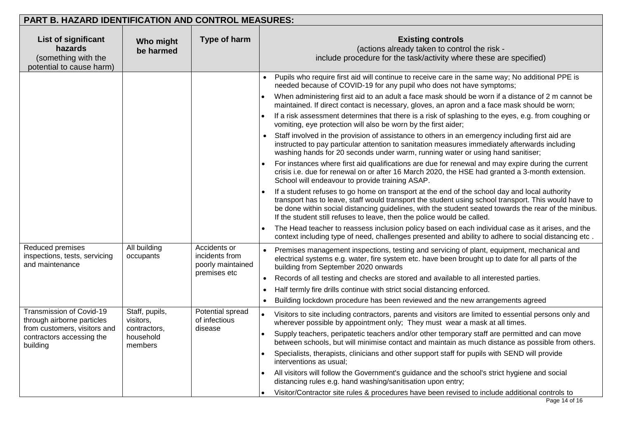| <b>PART B. HAZARD IDENTIFICATION AND CONTROL MEASURES:</b>                                                                      |                                                                     |                                                                     |                                                                                                                                                                                                                                                                                                                                                                                           |  |  |
|---------------------------------------------------------------------------------------------------------------------------------|---------------------------------------------------------------------|---------------------------------------------------------------------|-------------------------------------------------------------------------------------------------------------------------------------------------------------------------------------------------------------------------------------------------------------------------------------------------------------------------------------------------------------------------------------------|--|--|
| List of significant<br>hazards<br>(something with the<br>potential to cause harm)                                               | Who might<br>be harmed                                              | Type of harm                                                        | <b>Existing controls</b><br>(actions already taken to control the risk -<br>include procedure for the task/activity where these are specified)                                                                                                                                                                                                                                            |  |  |
|                                                                                                                                 |                                                                     |                                                                     | Pupils who require first aid will continue to receive care in the same way; No additional PPE is<br>needed because of COVID-19 for any pupil who does not have symptoms;                                                                                                                                                                                                                  |  |  |
|                                                                                                                                 |                                                                     |                                                                     | When administering first aid to an adult a face mask should be worn if a distance of 2 m cannot be<br>maintained. If direct contact is necessary, gloves, an apron and a face mask should be worn;                                                                                                                                                                                        |  |  |
|                                                                                                                                 |                                                                     |                                                                     | If a risk assessment determines that there is a risk of splashing to the eyes, e.g. from coughing or<br>vomiting, eye protection will also be worn by the first aider;                                                                                                                                                                                                                    |  |  |
|                                                                                                                                 |                                                                     |                                                                     | Staff involved in the provision of assistance to others in an emergency including first aid are<br>instructed to pay particular attention to sanitation measures immediately afterwards including<br>washing hands for 20 seconds under warm, running water or using hand sanitiser;                                                                                                      |  |  |
|                                                                                                                                 |                                                                     |                                                                     | For instances where first aid qualifications are due for renewal and may expire during the current<br>crisis i.e. due for renewal on or after 16 March 2020, the HSE had granted a 3-month extension.<br>School will endeavour to provide training ASAP.                                                                                                                                  |  |  |
|                                                                                                                                 |                                                                     |                                                                     | If a student refuses to go home on transport at the end of the school day and local authority<br>transport has to leave, staff would transport the student using school transport. This would have to<br>be done within social distancing guidelines, with the student seated towards the rear of the minibus.<br>If the student still refuses to leave, then the police would be called. |  |  |
|                                                                                                                                 |                                                                     |                                                                     | The Head teacher to reassess inclusion policy based on each individual case as it arises, and the<br>context including type of need, challenges presented and ability to adhere to social distancing etc.                                                                                                                                                                                 |  |  |
| Reduced premises<br>inspections, tests, servicing<br>and maintenance                                                            | All building<br>occupants                                           | Accidents or<br>incidents from<br>poorly maintained<br>premises etc | Premises management inspections, testing and servicing of plant, equipment, mechanical and<br>electrical systems e.g. water, fire system etc. have been brought up to date for all parts of the<br>building from September 2020 onwards                                                                                                                                                   |  |  |
|                                                                                                                                 |                                                                     |                                                                     | Records of all testing and checks are stored and available to all interested parties.<br>$\bullet$                                                                                                                                                                                                                                                                                        |  |  |
|                                                                                                                                 |                                                                     |                                                                     | Half termly fire drills continue with strict social distancing enforced.<br>$\bullet$                                                                                                                                                                                                                                                                                                     |  |  |
|                                                                                                                                 |                                                                     |                                                                     | Building lockdown procedure has been reviewed and the new arrangements agreed<br>$\bullet$                                                                                                                                                                                                                                                                                                |  |  |
| Transmission of Covid-19<br>through airborne particles<br>from customers, visitors and<br>contractors accessing the<br>building | Staff, pupils,<br>visitors,<br>contractors,<br>household<br>members | Potential spread<br>of infectious<br>disease                        | Visitors to site including contractors, parents and visitors are limited to essential persons only and<br>wherever possible by appointment only; They must wear a mask at all times.                                                                                                                                                                                                      |  |  |
|                                                                                                                                 |                                                                     |                                                                     | Supply teachers, peripatetic teachers and/or other temporary staff are permitted and can move<br>$\bullet$<br>between schools, but will minimise contact and maintain as much distance as possible from others.                                                                                                                                                                           |  |  |
|                                                                                                                                 |                                                                     |                                                                     | Specialists, therapists, clinicians and other support staff for pupils with SEND will provide<br>interventions as usual;                                                                                                                                                                                                                                                                  |  |  |
|                                                                                                                                 |                                                                     |                                                                     | All visitors will follow the Government's guidance and the school's strict hygiene and social<br>distancing rules e.g. hand washing/sanitisation upon entry;                                                                                                                                                                                                                              |  |  |
|                                                                                                                                 |                                                                     |                                                                     | Visitor/Contractor site rules & procedures have been revised to include additional controls to                                                                                                                                                                                                                                                                                            |  |  |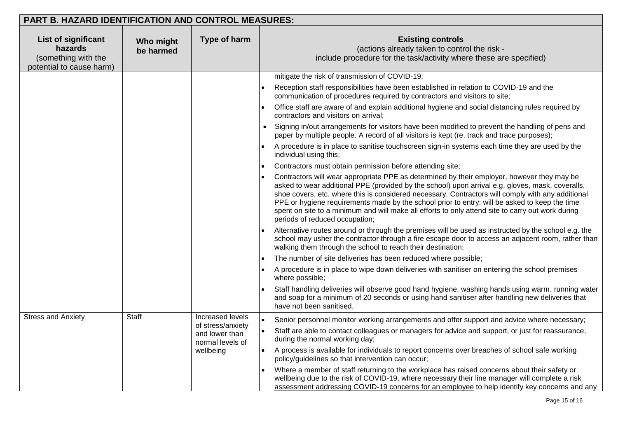| <b>PART B. HAZARD IDENTIFICATION AND CONTROL MEASURES:</b>                        |                        |                                                                      |                                                                                                                                                                                                                                                                                                                                                                                                                                                                                                                                             |  |  |  |  |
|-----------------------------------------------------------------------------------|------------------------|----------------------------------------------------------------------|---------------------------------------------------------------------------------------------------------------------------------------------------------------------------------------------------------------------------------------------------------------------------------------------------------------------------------------------------------------------------------------------------------------------------------------------------------------------------------------------------------------------------------------------|--|--|--|--|
| List of significant<br>hazards<br>(something with the<br>potential to cause harm) | Who might<br>be harmed | Type of harm                                                         | <b>Existing controls</b><br>(actions already taken to control the risk -<br>include procedure for the task/activity where these are specified)                                                                                                                                                                                                                                                                                                                                                                                              |  |  |  |  |
|                                                                                   |                        |                                                                      | mitigate the risk of transmission of COVID-19;                                                                                                                                                                                                                                                                                                                                                                                                                                                                                              |  |  |  |  |
|                                                                                   |                        |                                                                      | Reception staff responsibilities have been established in relation to COVID-19 and the<br>$\bullet$<br>communication of procedures required by contractors and visitors to site;                                                                                                                                                                                                                                                                                                                                                            |  |  |  |  |
|                                                                                   |                        |                                                                      | Office staff are aware of and explain additional hygiene and social distancing rules required by<br>contractors and visitors on arrival;                                                                                                                                                                                                                                                                                                                                                                                                    |  |  |  |  |
|                                                                                   |                        |                                                                      | Signing in/out arrangements for visitors have been modified to prevent the handling of pens and<br>paper by multiple people. A record of all visitors is kept (re. track and trace purposes);                                                                                                                                                                                                                                                                                                                                               |  |  |  |  |
|                                                                                   |                        |                                                                      | A procedure is in place to sanitise touchscreen sign-in systems each time they are used by the<br>individual using this;                                                                                                                                                                                                                                                                                                                                                                                                                    |  |  |  |  |
|                                                                                   |                        |                                                                      | Contractors must obtain permission before attending site;                                                                                                                                                                                                                                                                                                                                                                                                                                                                                   |  |  |  |  |
|                                                                                   |                        |                                                                      | Contractors will wear appropriate PPE as determined by their employer, however they may be<br>asked to wear additional PPE (provided by the school) upon arrival e.g. gloves, mask, coveralls,<br>shoe covers, etc. where this is considered necessary. Contractors will comply with any additional<br>PPE or hygiene requirements made by the school prior to entry; will be asked to keep the time<br>spent on site to a minimum and will make all efforts to only attend site to carry out work during<br>periods of reduced occupation; |  |  |  |  |
|                                                                                   |                        |                                                                      | Alternative routes around or through the premises will be used as instructed by the school e.g. the<br>school may usher the contractor through a fire escape door to access an adjacent room, rather than<br>walking them through the school to reach their destination;                                                                                                                                                                                                                                                                    |  |  |  |  |
|                                                                                   |                        |                                                                      | The number of site deliveries has been reduced where possible;                                                                                                                                                                                                                                                                                                                                                                                                                                                                              |  |  |  |  |
|                                                                                   |                        |                                                                      | A procedure is in place to wipe down deliveries with sanitiser on entering the school premises<br>where possible;                                                                                                                                                                                                                                                                                                                                                                                                                           |  |  |  |  |
|                                                                                   |                        |                                                                      | Staff handling deliveries will observe good hand hygiene, washing hands using warm, running water<br>and soap for a minimum of 20 seconds or using hand sanitiser after handling new deliveries that<br>have not been sanitised.                                                                                                                                                                                                                                                                                                            |  |  |  |  |
| <b>Stress and Anxiety</b>                                                         | Staff                  | Increased levels                                                     | Senior personnel monitor working arrangements and offer support and advice where necessary;                                                                                                                                                                                                                                                                                                                                                                                                                                                 |  |  |  |  |
|                                                                                   |                        | of stress/anxiety<br>and lower than<br>normal levels of<br>wellbeing | Staff are able to contact colleagues or managers for advice and support, or just for reassurance,<br>during the normal working day;                                                                                                                                                                                                                                                                                                                                                                                                         |  |  |  |  |
|                                                                                   |                        |                                                                      | A process is available for individuals to report concerns over breaches of school safe working<br>policy/guidelines so that intervention can occur;                                                                                                                                                                                                                                                                                                                                                                                         |  |  |  |  |
|                                                                                   |                        |                                                                      | Where a member of staff returning to the workplace has raised concerns about their safety or<br>wellbeing due to the risk of COVID-19, where necessary their line manager will complete a risk<br>assessment addressing COVID-19 concerns for an employee to help identify key concerns and any                                                                                                                                                                                                                                             |  |  |  |  |